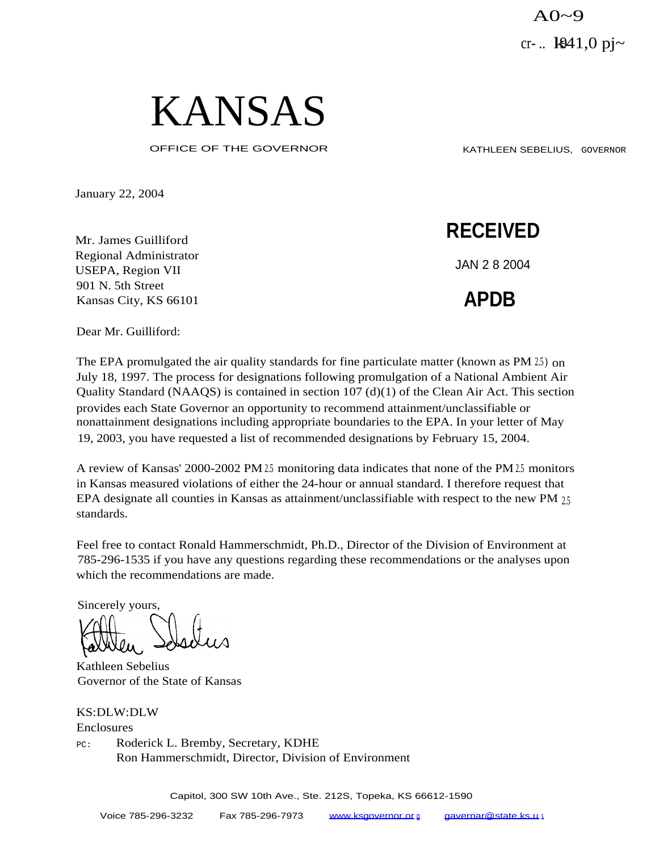$A0-9$ cr-..  $1941,0$  pj~



OFFICE OF THE GOVERNOR KATHLEEN SEBELIUS, GOVERNOR

January 22, 2004

Mr. James Guilliford Regional Administrator USEPA, Region VII 901 N. 5th Street Kansas City, KS 66101

**RECEIVED**

JAN 2 8 2004

**APDB**

Dear Mr. Guilliford:

The EPA promulgated the air quality standards for fine particulate matter (known as PM  $25$ ) on July 18, 1997. The process for designations following promulgation of a National Ambient Air Quality Standard (NAAQS) is contained in section 107 (d)(1) of the Clean Air Act. This section provides each State Governor an opportunity to recommend attainment/unclassifiable or nonattainment designations including appropriate boundaries to the EPA. In your letter of May 19, 2003, you have requested a list of recommended designations by February 15, 2004.

A review of Kansas' 2000-2002 PM 2.5 monitoring data indicates that none of the PM 2.5 monitors in Kansas measured violations of either the 24-hour or annual standard. I therefore request that EPA designate all counties in Kansas as attainment/unclassifiable with respect to the new PM  $_{25}$ standards.

Feel free to contact Ronald Hammerschmidt, Ph.D., Director of the Division of Environment at 785-296-1535 if you have any questions regarding these recommendations or the analyses upon which the recommendations are made.

Sincerely yours,

Kathleen Sebelius Governor of the State of Kansas

KS:DLW:DLW Enclosures PC: Roderick L. Bremby, Secretary, KDHE Ron Hammerschmidt, Director, Division of Environment

Capitol, 300 SW 10th Ave., Ste. 212S, Topeka, KS 66612-1590